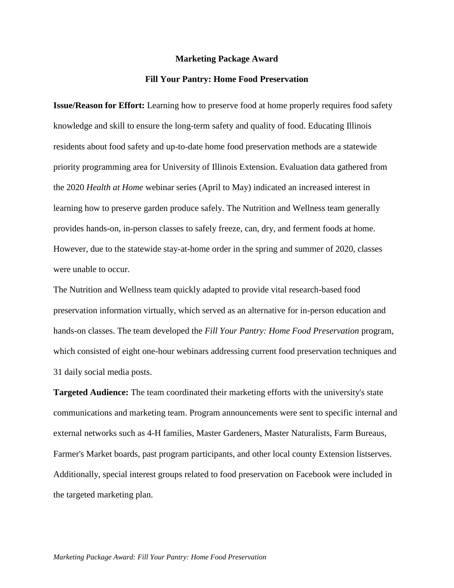## **Marketing Package Award**

## **Fill Your Pantry: Home Food Preservation**

**Issue/Reason for Effort:** Learning how to preserve food at home properly requires food safety knowledge and skill to ensure the long-term safety and quality of food. Educating Illinois residents about food safety and up-to-date home food preservation methods are a statewide priority programming area for University of Illinois Extension. Evaluation data gathered from the 2020 *Health at Home* webinar series (April to May) indicated an increased interest in learning how to preserve garden produce safely. The Nutrition and Wellness team generally provides hands-on, in-person classes to safely freeze, can, dry, and ferment foods at home. However, due to the statewide stay-at-home order in the spring and summer of 2020, classes were unable to occur.

The Nutrition and Wellness team quickly adapted to provide vital research-based food preservation information virtually, which served as an alternative for in-person education and hands-on classes. The team developed the *Fill Your Pantry: Home Food Preservation* program, which consisted of eight one-hour webinars addressing current food preservation techniques and 31 daily social media posts.

**Targeted Audience:** The team coordinated their marketing efforts with the university's state communications and marketing team. Program announcements were sent to specific internal and external networks such as 4-H families, Master Gardeners, Master Naturalists, Farm Bureaus, Farmer's Market boards, past program participants, and other local county Extension listserves. Additionally, special interest groups related to food preservation on Facebook were included in the targeted marketing plan.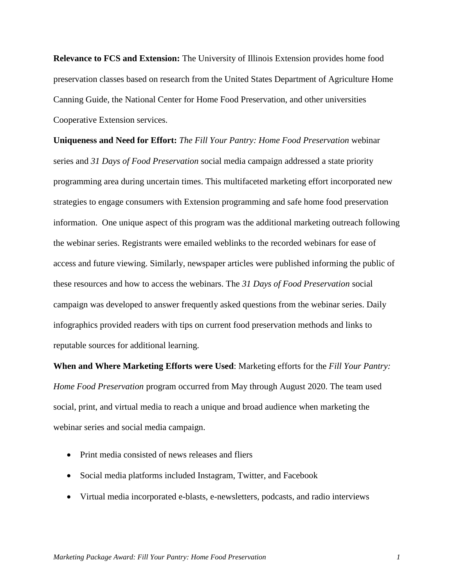**Relevance to FCS and Extension:** The University of Illinois Extension provides home food preservation classes based on research from the United States Department of Agriculture Home Canning Guide, the National Center for Home Food Preservation, and other universities Cooperative Extension services.

**Uniqueness and Need for Effort:** *The Fill Your Pantry: Home Food Preservation* webinar series and *31 Days of Food Preservation* social media campaign addressed a state priority programming area during uncertain times. This multifaceted marketing effort incorporated new strategies to engage consumers with Extension programming and safe home food preservation information. One unique aspect of this program was the additional marketing outreach following the webinar series. Registrants were emailed weblinks to the recorded webinars for ease of access and future viewing. Similarly, newspaper articles were published informing the public of these resources and how to access the webinars. The *31 Days of Food Preservation* social campaign was developed to answer frequently asked questions from the webinar series. Daily infographics provided readers with tips on current food preservation methods and links to reputable sources for additional learning.

**When and Where Marketing Efforts were Used**: Marketing efforts for the *Fill Your Pantry: Home Food Preservation* program occurred from May through August 2020. The team used social, print, and virtual media to reach a unique and broad audience when marketing the webinar series and social media campaign.

- Print media consisted of news releases and fliers
- Social media platforms included Instagram, Twitter, and Facebook
- Virtual media incorporated e-blasts, e-newsletters, podcasts, and radio interviews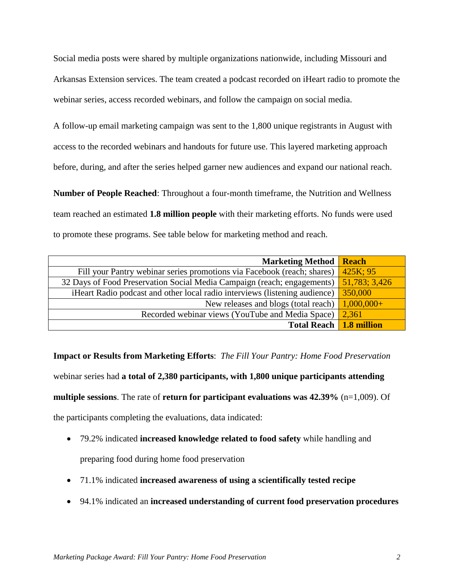Social media posts were shared by multiple organizations nationwide, including Missouri and Arkansas Extension services. The team created a podcast recorded on iHeart radio to promote the webinar series, access recorded webinars, and follow the campaign on social media.

A follow-up email marketing campaign was sent to the 1,800 unique registrants in August with access to the recorded webinars and handouts for future use. This layered marketing approach before, during, and after the series helped garner new audiences and expand our national reach.

**Number of People Reached**: Throughout a four-month timeframe, the Nutrition and Wellness team reached an estimated **1.8 million people** with their marketing efforts. No funds were used to promote these programs. See table below for marketing method and reach.

| <b>Marketing Method</b>                                                    | <b>Reach</b>  |
|----------------------------------------------------------------------------|---------------|
| Fill your Pantry webinar series promotions via Facebook (reach; shares)    | $425K$ ; 95   |
| 32 Days of Food Preservation Social Media Campaign (reach; engagements)    | 51,783; 3,426 |
| iHeart Radio podcast and other local radio interviews (listening audience) | 350,000       |
| New releases and blogs (total reach)                                       | $1,000,000+$  |
| Recorded webinar views (YouTube and Media Space)                           | 2,361         |
| <b>Total Reach</b>                                                         | 1.8 million   |

**Impact or Results from Marketing Efforts**: *The Fill Your Pantry: Home Food Preservation* webinar series had **a total of 2,380 participants, with 1,800 unique participants attending multiple sessions**. The rate of **return for participant evaluations was 42.39%** (n=1,009). Of the participants completing the evaluations, data indicated:

- 79.2% indicated **increased knowledge related to food safety** while handling and preparing food during home food preservation
- 71.1% indicated **increased awareness of using a scientifically tested recipe**
- 94.1% indicated an **increased understanding of current food preservation procedures**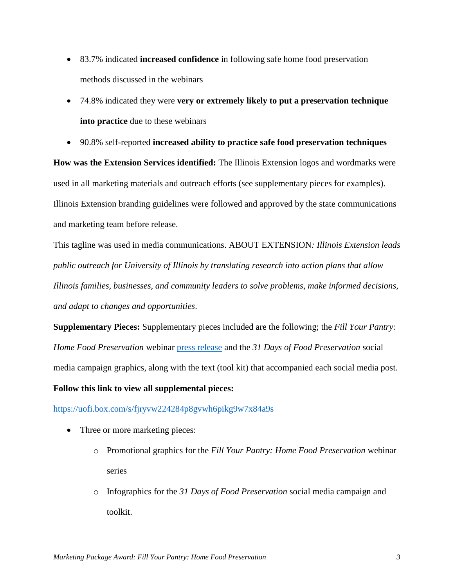- 83.7% indicated **increased confidence** in following safe home food preservation methods discussed in the webinars
- 74.8% indicated they were **very or extremely likely to put a preservation technique into practice** due to these webinars
- 90.8% self-reported **increased ability to practice safe food preservation techniques**

**How was the Extension Services identified:** The Illinois Extension logos and wordmarks were used in all marketing materials and outreach efforts (see supplementary pieces for examples). Illinois Extension branding guidelines were followed and approved by the state communications and marketing team before release.

This tagline was used in media communications. ABOUT EXTENSION*: Illinois Extension leads public outreach for University of Illinois by translating research into action plans that allow Illinois families, businesses, and community leaders to solve problems, make informed decisions, and adapt to changes and opportunities*.

**Supplementary Pieces:** Supplementary pieces included are the following; the *Fill Your Pantry: Home Food Preservation* webinar [press release](https://extension.illinois.edu/news-releases/use-safe-tested-methods-preserving-food) and the *31 Days of Food Preservation* social media campaign graphics, along with the text (tool kit) that accompanied each social media post.

## **Follow this link to view all supplemental pieces:**

<https://uofi.box.com/s/fjryvw224284p8gvwh6pikg9w7x84a9s>

- Three or more marketing pieces:
	- o Promotional graphics for the *Fill Your Pantry: Home Food Preservation* webinar series
	- o Infographics for the *31 Days of Food Preservation* social media campaign and toolkit.